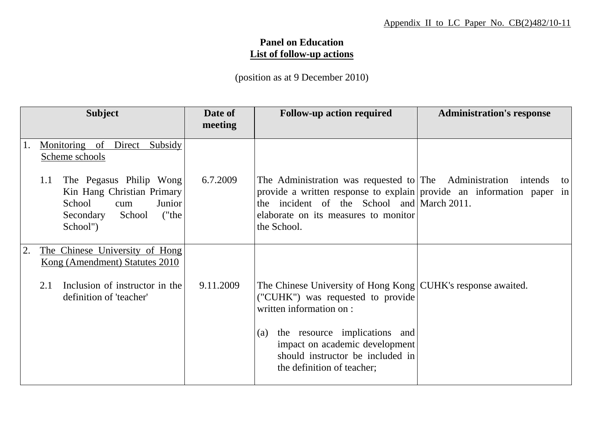## **Panel on Education List of follow-up actions**

(position as at 9 December 2010)

|    | <b>Subject</b>                                                                                                                      | Date of<br>meeting | <b>Follow-up action required</b>                                                                                                                                                                                                     | <b>Administration's response</b> |
|----|-------------------------------------------------------------------------------------------------------------------------------------|--------------------|--------------------------------------------------------------------------------------------------------------------------------------------------------------------------------------------------------------------------------------|----------------------------------|
| 1. | Monitoring of Direct<br>Subsidy<br>Scheme schools                                                                                   |                    |                                                                                                                                                                                                                                      |                                  |
|    | The Pegasus Philip Wong<br>1.1<br>Kin Hang Christian Primary<br>School<br>Junior<br>cum<br>("the<br>Secondary<br>School<br>School") | 6.7.2009           | The Administration was requested to The Administration<br>provide a written response to explain provide an information paper in<br>the incident of the School and March 2011.<br>elaborate on its measures to monitor<br>the School. | intends<br>to                    |
| 2. | The Chinese University of Hong<br>Kong (Amendment) Statutes 2010                                                                    |                    |                                                                                                                                                                                                                                      |                                  |
|    | Inclusion of instructor in the<br>2.1<br>definition of 'teacher'                                                                    | 9.11.2009          | The Chinese University of Hong Kong CUHK's response awaited.<br>("CUHK") was requested to provide<br>written information on :                                                                                                        |                                  |
|    |                                                                                                                                     |                    | the resource implications and<br>(a)<br>impact on academic development<br>should instructor be included in<br>the definition of teacher;                                                                                             |                                  |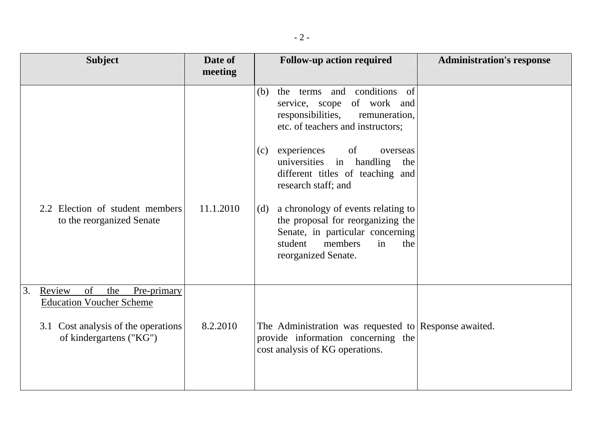| <b>Subject</b>                                                                                                                                | Date of   | <b>Follow-up action required</b>                                                                                                                                                                                                                                 | <b>Administration's response</b> |
|-----------------------------------------------------------------------------------------------------------------------------------------------|-----------|------------------------------------------------------------------------------------------------------------------------------------------------------------------------------------------------------------------------------------------------------------------|----------------------------------|
|                                                                                                                                               | meeting   |                                                                                                                                                                                                                                                                  |                                  |
|                                                                                                                                               |           | the terms and conditions of<br>(b)<br>service, scope<br>of work and<br>responsibilities,<br>remuneration,<br>etc. of teachers and instructors;<br>experiences<br>of<br>(c)<br>overseas<br>universities<br>in handling<br>the<br>different titles of teaching and |                                  |
| 2.2 Election of student members<br>to the reorganized Senate                                                                                  | 11.1.2010 | research staff; and<br>a chronology of events relating to<br>(d)<br>the proposal for reorganizing the<br>Senate, in particular concerning<br>members<br>student<br>in<br>the<br>reorganized Senate.                                                              |                                  |
| 3.<br>of<br>Review<br>the<br>Pre-primary<br><b>Education Voucher Scheme</b><br>3.1 Cost analysis of the operations<br>of kindergartens ("KG") | 8.2.2010  | The Administration was requested to Response awaited.<br>provide information concerning the<br>cost analysis of KG operations.                                                                                                                                   |                                  |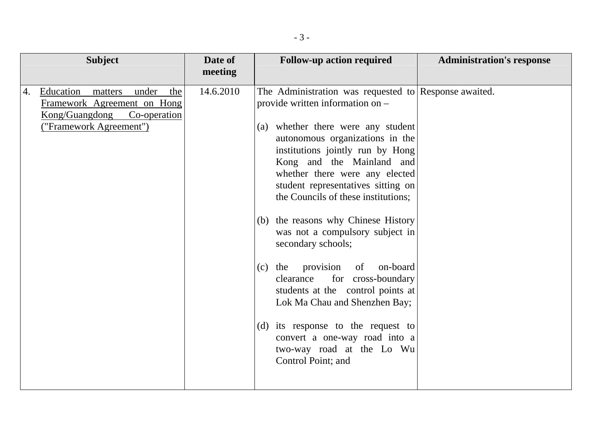| <b>Subject</b>                                                                                                                         | Date of<br>meeting | <b>Follow-up action required</b>                                                                                                                                                                                                                                                                                                                                                                                                                                                                                                                                                                                                                                                                                                  | <b>Administration's response</b> |
|----------------------------------------------------------------------------------------------------------------------------------------|--------------------|-----------------------------------------------------------------------------------------------------------------------------------------------------------------------------------------------------------------------------------------------------------------------------------------------------------------------------------------------------------------------------------------------------------------------------------------------------------------------------------------------------------------------------------------------------------------------------------------------------------------------------------------------------------------------------------------------------------------------------------|----------------------------------|
| Education<br>under<br>4.<br>matters<br>the<br>Framework Agreement on Hong<br>Kong/Guangdong<br>Co-operation<br>("Framework Agreement") | 14.6.2010          | The Administration was requested to Response awaited.<br>provide written information on -<br>(a) whether there were any student<br>autonomous organizations in the<br>institutions jointly run by Hong<br>Kong and the Mainland and<br>whether there were any elected<br>student representatives sitting on<br>the Councils of these institutions;<br>(b) the reasons why Chinese History<br>was not a compulsory subject in<br>secondary schools;<br>provision<br>on-board<br>$(c)$ the<br>of<br>clearance<br>for cross-boundary<br>students at the control points at<br>Lok Ma Chau and Shenzhen Bay;<br>(d) its response to the request to<br>convert a one-way road into a<br>two-way road at the Lo Wu<br>Control Point; and |                                  |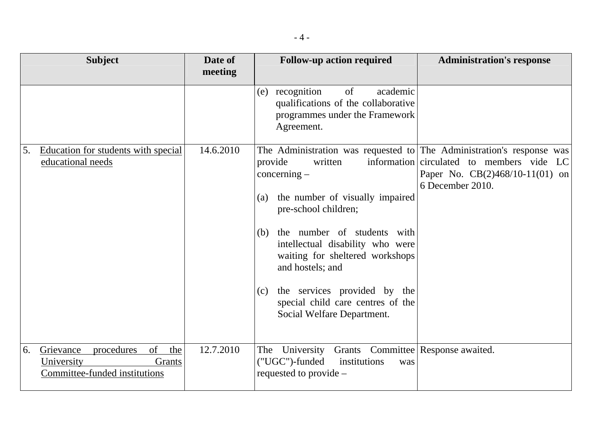|    | <b>Subject</b>                                                                                | Date of<br>meeting | <b>Follow-up action required</b>                                                                                                                                                                                                                                                                                                                                                                                           | <b>Administration's response</b>                                                                   |
|----|-----------------------------------------------------------------------------------------------|--------------------|----------------------------------------------------------------------------------------------------------------------------------------------------------------------------------------------------------------------------------------------------------------------------------------------------------------------------------------------------------------------------------------------------------------------------|----------------------------------------------------------------------------------------------------|
|    |                                                                                               |                    | of<br>recognition<br>academic<br>(e)<br>qualifications of the collaborative<br>programmes under the Framework<br>Agreement.                                                                                                                                                                                                                                                                                                |                                                                                                    |
| 5. | Education for students with special<br>educational needs                                      | 14.6.2010          | The Administration was requested to The Administration's response was<br>provide<br>written<br>$concerning -$<br>the number of visually impaired<br>(a)<br>pre-school children;<br>the number of students with<br>(b)<br>intellectual disability who were<br>waiting for sheltered workshops<br>and hostels; and<br>the services provided by the<br>(c)<br>special child care centres of the<br>Social Welfare Department. | information circulated to members vide LC<br>Paper No. $CB(2)468/10-11(01)$ on<br>6 December 2010. |
| 6. | of<br>Grievance<br>procedures<br>the<br>University<br>Grants<br>Committee-funded institutions | 12.7.2010          | The University<br>Grants Committee Response awaited.<br>("UGC")-funded<br>institutions<br>was<br>requested to provide –                                                                                                                                                                                                                                                                                                    |                                                                                                    |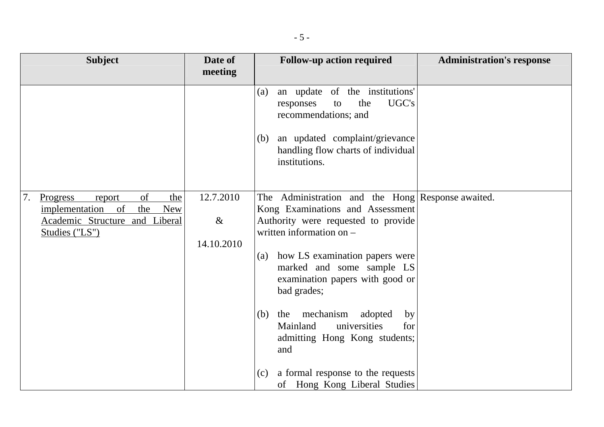| <b>Subject</b>                                                                                                                               | Date of                         | <b>Follow-up action required</b>                                                                                                                                                                                                                                                                                                                                 | <b>Administration's response</b> |
|----------------------------------------------------------------------------------------------------------------------------------------------|---------------------------------|------------------------------------------------------------------------------------------------------------------------------------------------------------------------------------------------------------------------------------------------------------------------------------------------------------------------------------------------------------------|----------------------------------|
|                                                                                                                                              | meeting                         |                                                                                                                                                                                                                                                                                                                                                                  |                                  |
|                                                                                                                                              |                                 | an update of the institutions'<br>(a)<br>UGC's<br>the<br>responses<br>to<br>recommendations; and<br>an updated complaint/grievance<br>(b)<br>handling flow charts of individual<br>institutions.                                                                                                                                                                 |                                  |
| of<br>7.<br>Progress<br>the<br>report<br>implementation<br>$\Omega$<br>the<br><b>New</b><br>Academic Structure and Liberal<br>Studies ("LS") | 12.7.2010<br>$\&$<br>14.10.2010 | The Administration and the Hong Response awaited.<br>Kong Examinations and Assessment<br>Authority were requested to provide<br>written information on $-$<br>how LS examination papers were<br>(a)<br>marked and some sample LS<br>examination papers with good or<br>bad grades;<br>mechanism<br>adopted<br>$(b)$ the<br>by<br>universities<br>Mainland<br>for |                                  |
|                                                                                                                                              |                                 | admitting Hong Kong students;<br>and<br>a formal response to the requests<br>(c)<br>of Hong Kong Liberal Studies                                                                                                                                                                                                                                                 |                                  |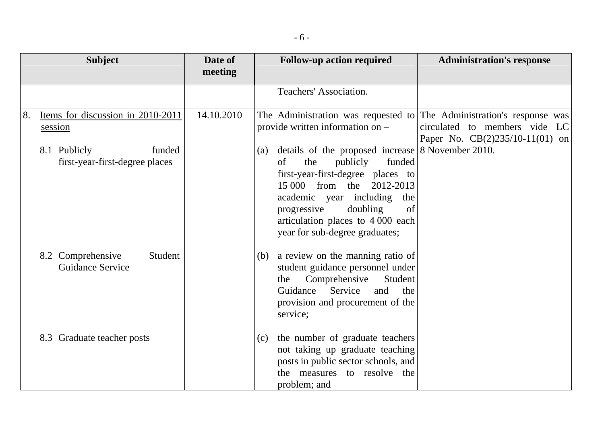|    | <b>Subject</b>                                           | Date of<br>meeting | <b>Follow-up action required</b>                                                                                                                                                                                                                                                                           | <b>Administration's response</b>                                   |
|----|----------------------------------------------------------|--------------------|------------------------------------------------------------------------------------------------------------------------------------------------------------------------------------------------------------------------------------------------------------------------------------------------------------|--------------------------------------------------------------------|
|    |                                                          |                    | Teachers' Association.                                                                                                                                                                                                                                                                                     |                                                                    |
| 8. | Items for discussion in 2010-2011<br>session             | 14.10.2010         | The Administration was requested to The Administration's response was<br>provide written information on -                                                                                                                                                                                                  | circulated to members vide LC<br>Paper No. $CB(2)235/10-11(01)$ on |
|    | 8.1 Publicly<br>funded<br>first-year-first-degree places |                    | details of the proposed increase 8 November 2010.<br>(a)<br>publicly<br>the<br>funded<br>of<br>first-year-first-degree places to<br>the<br>15 000 from<br>2012-2013<br>academic year including the<br>progressive<br>doubling<br>of<br>articulation places to 4 000 each<br>year for sub-degree graduates; |                                                                    |
|    | 8.2 Comprehensive<br>Student<br><b>Guidance Service</b>  |                    | a review on the manning ratio of<br>(b)<br>student guidance personnel under<br>Comprehensive<br>Student<br>the<br>Guidance<br>Service<br>and<br>the<br>provision and procurement of the<br>service;                                                                                                        |                                                                    |
|    | 8.3 Graduate teacher posts                               |                    | the number of graduate teachers<br>(c)<br>not taking up graduate teaching<br>posts in public sector schools, and<br>the measures to resolve the<br>problem; and                                                                                                                                            |                                                                    |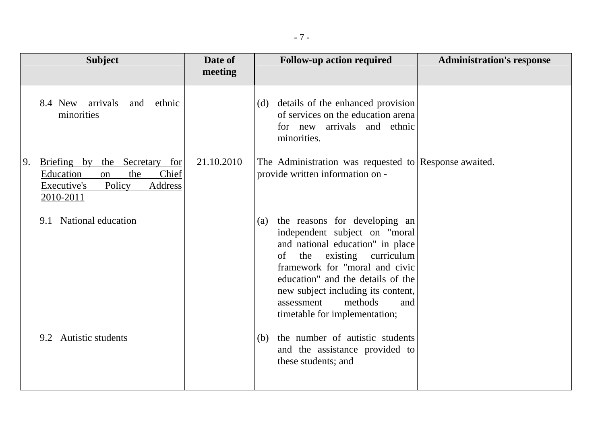|                                                            | <b>Subject</b>                                                     | Date of    | <b>Follow-up action required</b>                                                                                                                                                                                                                                                                                                          | <b>Administration's response</b> |
|------------------------------------------------------------|--------------------------------------------------------------------|------------|-------------------------------------------------------------------------------------------------------------------------------------------------------------------------------------------------------------------------------------------------------------------------------------------------------------------------------------------|----------------------------------|
|                                                            |                                                                    | meeting    |                                                                                                                                                                                                                                                                                                                                           |                                  |
| 8.4 New arrivals<br>minorities                             | ethnic<br>and                                                      |            | details of the enhanced provision<br>(d)<br>of services on the education arena<br>for new arrivals and ethnic<br>minorities.                                                                                                                                                                                                              |                                  |
| 9.<br>Briefing by<br>Education<br>Executive's<br>2010-2011 | the<br>Secretary<br>for<br>the<br>Chief<br>on<br>Policy<br>Address | 21.10.2010 | The Administration was requested to Response awaited.<br>provide written information on -                                                                                                                                                                                                                                                 |                                  |
| 9.1                                                        | National education                                                 |            | the reasons for developing an<br>(a)<br>independent subject on "moral<br>and national education" in place<br>curriculum<br>the<br>existing<br><sub>of</sub><br>framework for "moral and civic<br>education" and the details of the<br>new subject including its content,<br>methods<br>assessment<br>and<br>timetable for implementation; |                                  |
| 9.2                                                        | <b>Autistic students</b>                                           |            | the number of autistic students<br>(b)<br>and the assistance provided to<br>these students; and                                                                                                                                                                                                                                           |                                  |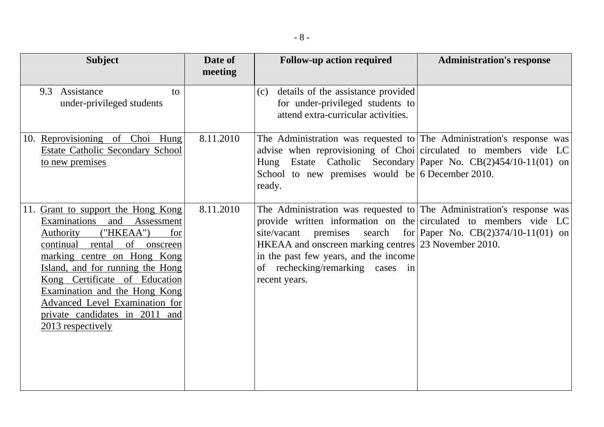| <b>Subject</b>                                                                                                                                                                                                                                                                                                                                                                | Date of   | <b>Follow-up action required</b>                                                                                                                                                                                                                                                                                 | <b>Administration's response</b>                      |
|-------------------------------------------------------------------------------------------------------------------------------------------------------------------------------------------------------------------------------------------------------------------------------------------------------------------------------------------------------------------------------|-----------|------------------------------------------------------------------------------------------------------------------------------------------------------------------------------------------------------------------------------------------------------------------------------------------------------------------|-------------------------------------------------------|
|                                                                                                                                                                                                                                                                                                                                                                               | meeting   |                                                                                                                                                                                                                                                                                                                  |                                                       |
| 9.3 Assistance<br>to<br>under-privileged students                                                                                                                                                                                                                                                                                                                             |           | details of the assistance provided<br>(c)<br>for under-privileged students to<br>attend extra-curricular activities.                                                                                                                                                                                             |                                                       |
| 10. Reprovisioning of Choi Hung<br>Estate Catholic Secondary School<br>to new premises                                                                                                                                                                                                                                                                                        | 8.11.2010 | The Administration was requested to The Administration's response was<br>advise when reprovisioning of Choi circulated to members vide LC<br>Hung Estate Catholic Secondary Paper No. CB(2)454/10-11(01) on<br>School to new premises would be 6 December 2010.<br>ready.                                        |                                                       |
| 11. Grant to support the Hong Kong<br>Examinations and<br>Assessment<br>("HKEAA")<br><b>Authority</b><br>for<br>continual rental<br>of onscreen<br>marking centre on Hong Kong<br>Island, and for running the Hong<br>Kong Certificate of Education<br>Examination and the Hong Kong<br>Advanced Level Examination for<br>private candidates in 2011 and<br>2013 respectively | 8.11.2010 | The Administration was requested to The Administration's response was<br>provide written information on the circulated to members vide $LC$<br>site/vacant<br>HKEAA and onscreen marking centres 23 November 2010.<br>in the past few years, and the income<br>of rechecking/remarking cases in<br>recent years. | premises search for Paper No. $CB(2)374/10-11(01)$ on |